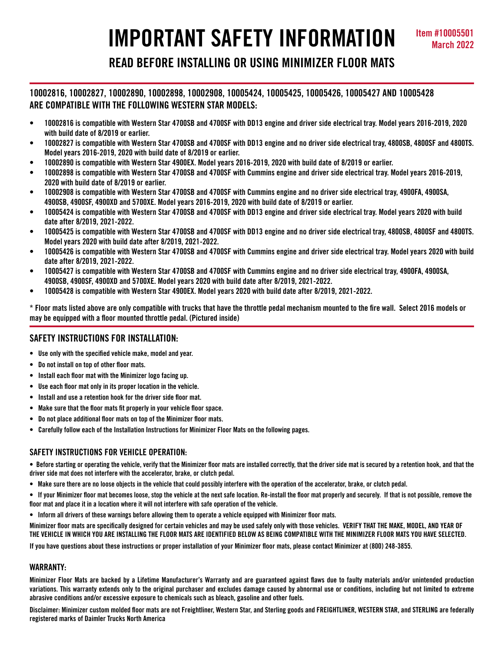# **IMPORTANT SAFETY INFORMATION March 2022**

## **READ BEFORE INSTALLING OR USING MINIMIZER FLOOR MATS**

### **10002816, 10002827, 10002890, 10002898, 10002908, 10005424, 10005425, 10005426, 10005427 AND 10005428 ARE COMPATIBLE WITH THE FOLLOWING WESTERN STAR MODELS:**

- **• 10002816 is compatible with Western Star 4700SB and 4700SF with DD13 engine and driver side electrical tray. Model years 2016-2019, 2020 with build date of 8/2019 or earlier.**
- **• 10002827 is compatible with Western Star 4700SB and 4700SF with DD13 engine and no driver side electrical tray, 4800SB, 4800SF and 4800TS. Model years 2016-2019, 2020 with build date of 8/2019 or earlier.**
- **• 10002890 is compatible with Western Star 4900EX. Model years 2016-2019, 2020 with build date of 8/2019 or earlier.**
- **• 10002898 is compatible with Western Star 4700SB and 4700SF with Cummins engine and driver side electrical tray. Model years 2016-2019, 2020 with build date of 8/2019 or earlier.**
- **• 10002908 is compatible with Western Star 4700SB and 4700SF with Cummins engine and no driver side electrical tray, 4900FA, 4900SA, 4900SB, 4900SF, 4900XD and 5700XE. Model years 2016-2019, 2020 with build date of 8/2019 or earlier.**
- **• 10005424 is compatible with Western Star 4700SB and 4700SF with DD13 engine and driver side electrical tray. Model years 2020 with build date after 8/2019, 2021-2022.**
- **• 10005425 is compatible with Western Star 4700SB and 4700SF with DD13 engine and no driver side electrical tray, 4800SB, 4800SF and 4800TS. Model years 2020 with build date after 8/2019, 2021-2022.**
- **• 10005426 is compatible with Western Star 4700SB and 4700SF with Cummins engine and driver side electrical tray. Model years 2020 with build date after 8/2019, 2021-2022.**
- **• 10005427 is compatible with Western Star 4700SB and 4700SF with Cummins engine and no driver side electrical tray, 4900FA, 4900SA, 4900SB, 4900SF, 4900XD and 5700XE. Model years 2020 with build date after 8/2019, 2021-2022.**
- **• 10005428 is compatible with Western Star 4900EX. Model years 2020 with build date after 8/2019, 2021-2022.**

**\* Floor mats listed above are only compatible with trucks that have the throttle pedal mechanism mounted to the fire wall. Select 2016 models or may be equipped with a floor mounted throttle pedal. (Pictured inside)**

### **SAFETY INSTRUCTIONS FOR INSTALLATION:**

- **Use only with the specified vehicle make, model and year.**
- **Do not install on top of other floor mats.**
- **Install each floor mat with the Minimizer logo facing up.**
- **Use each floor mat only in its proper location in the vehicle.**
- **Install and use a retention hook for the driver side floor mat.**
- **Make sure that the floor mats fit properly in your vehicle floor space.**
- **Do not place additional floor mats on top of the Minimizer floor mats.**
- **Carefully follow each of the Installation Instructions for Minimizer Floor Mats on the following pages.**

### **SAFETY INSTRUCTIONS FOR VEHICLE OPERATION:**

**• Before starting or operating the vehicle, verify that the Minimizer floor mats are installed correctly, that the driver side mat is secured by a retention hook, and that the driver side mat does not interfere with the accelerator, brake, or clutch pedal.**

- **Make sure there are no loose objects in the vehicle that could possibly interfere with the operation of the accelerator, brake, or clutch pedal.**
- **If your Minimizer floor mat becomes loose, stop the vehicle at the next safe location. Re-install the floor mat properly and securely. If that is not possible, remove the floor mat and place it in a location where it will not interfere with safe operation of the vehicle.**
- **Inform all drivers of these warnings before allowing them to operate a vehicle equipped with Minimizer floor mats.**

**Minimizer floor mats are specifically designed for certain vehicles and may be used safely only with those vehicles. VERIFY THAT THE MAKE, MODEL, AND YEAR OF THE VEHICLE IN WHICH YOU ARE INSTALLING THE FLOOR MATS ARE IDENTIFIED BELOW AS BEING COMPATIBLE WITH THE MINIMIZER FLOOR MATS YOU HAVE SELECTED.** 

**If you have questions about these instructions or proper installation of your Minimizer floor mats, please contact Minimizer at (800) 248-3855.**

### **WARRANTY:**

**Minimizer Floor Mats are backed by a Lifetime Manufacturer's Warranty and are guaranteed against flaws due to faulty materials and/or unintended production variations. This warranty extends only to the original purchaser and excludes damage caused by abnormal use or conditions, including but not limited to extreme abrasive conditions and/or excessive exposure to chemicals such as bleach, gasoline and other fuels.**

**Disclaimer: Minimizer custom molded floor mats are not Freightliner, Western Star, and Sterling goods and FREIGHTLINER, WESTERN STAR, and STERLING are federally registered marks of Daimler Trucks North America**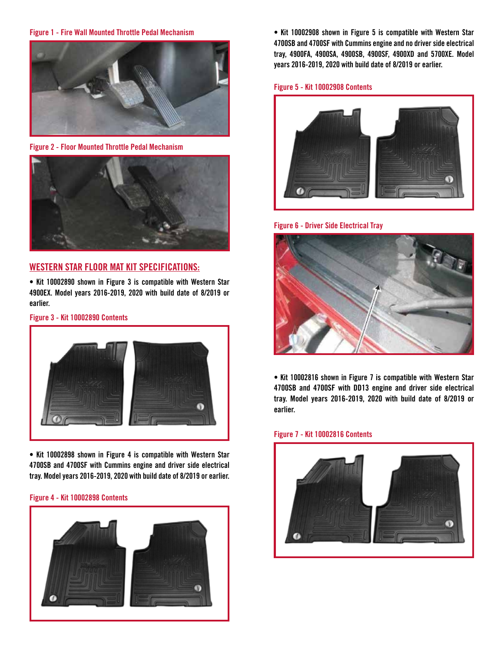### **Figure 1 - Fire Wall Mounted Throttle Pedal Mechanism**



**Figure 2 - Floor Mounted Throttle Pedal Mechanism**



### **WESTERN STAR FLOOR MAT KIT SPECIFICATIONS:**

**• Kit 10002890 shown in Figure 3 is compatible with Western Star 4900EX. Model years 2016-2019, 2020 with build date of 8/2019 or earlier.**

### **Figure 3 - Kit 10002890 Contents**



**• Kit 10002898 shown in Figure 4 is compatible with Western Star 4700SB and 4700SF with Cummins engine and driver side electrical tray. Model years 2016-2019, 2020 with build date of 8/2019 or earlier.**

### **Figure 4 - Kit 10002898 Contents**



**• Kit 10002908 shown in Figure 5 is compatible with Western Star 4700SB and 4700SF with Cummins engine and no driver side electrical tray, 4900FA, 4900SA, 4900SB, 4900SF, 4900XD and 5700XE. Model years 2016-2019, 2020 with build date of 8/2019 or earlier.**

### **Figure 5 - Kit 10002908 Contents**



**Figure 6 - Driver Side Electrical Tray**



**• Kit 10002816 shown in Figure 7 is compatible with Western Star 4700SB and 4700SF with DD13 engine and driver side electrical tray. Model years 2016-2019, 2020 with build date of 8/2019 or earlier.**

### **Figure 7 - Kit 10002816 Contents**

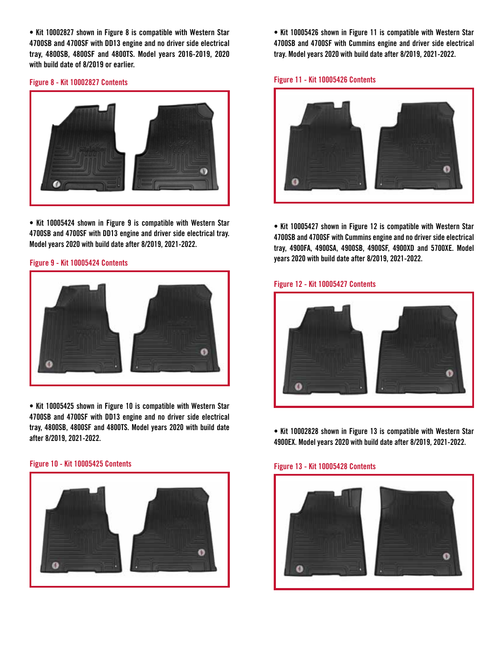**• Kit 10002827 shown in Figure 8 is compatible with Western Star 4700SB and 4700SF with DD13 engine and no driver side electrical tray, 4800SB, 4800SF and 4800TS. Model years 2016-2019, 2020 with build date of 8/2019 or earlier.**



**• Kit 10005424 shown in Figure 9 is compatible with Western Star 4700SB and 4700SF with DD13 engine and driver side electrical tray. Model years 2020 with build date after 8/2019, 2021-2022.**

### **Figure 9 - Kit 10005424 Contents**



**• Kit 10005425 shown in Figure 10 is compatible with Western Star 4700SB and 4700SF with DD13 engine and no driver side electrical tray, 4800SB, 4800SF and 4800TS. Model years 2020 with build date after 8/2019, 2021-2022.**

### **Figure 13 - Kit 10005428 Contents Figure 10 - Kit 10005425 Contents**



**• Kit 10005426 shown in Figure 11 is compatible with Western Star 4700SB and 4700SF with Cummins engine and driver side electrical tray. Model years 2020 with build date after 8/2019, 2021-2022.**

### **Figure 11 - Kit 10005426 Contents Figure 8 - Kit 10002827 Contents**



**• Kit 10005427 shown in Figure 12 is compatible with Western Star 4700SB and 4700SF with Cummins engine and no driver side electrical tray, 4900FA, 4900SA, 4900SB, 4900SF, 4900XD and 5700XE. Model years 2020 with build date after 8/2019, 2021-2022.**

### **Figure 12 - Kit 10005427 Contents**



**• Kit 10002828 shown in Figure 13 is compatible with Western Star 4900EX. Model years 2020 with build date after 8/2019, 2021-2022.**

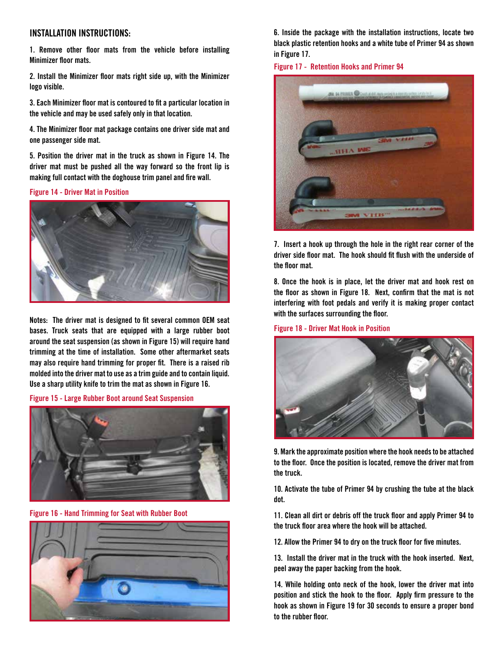### **INSTALLATION INSTRUCTIONS:**

**1. Remove other floor mats from the vehicle before installing Minimizer floor mats.**

**2. Install the Minimizer floor mats right side up, with the Minimizer logo visible.**

**3. Each Minimizer floor mat is contoured to fit a particular location in the vehicle and may be used safely only in that location.**

**4. The Minimizer floor mat package contains one driver side mat and one passenger side mat.** 

**5. Position the driver mat in the truck as shown in Figure 14. The driver mat must be pushed all the way forward so the front lip is making full contact with the doghouse trim panel and fire wall.** 

**Figure 14 - Driver Mat in Position**



**Notes: The driver mat is designed to fit several common OEM seat bases. Truck seats that are equipped with a large rubber boot around the seat suspension (as shown in Figure 15) will require hand trimming at the time of installation. Some other aftermarket seats may also require hand trimming for proper fit. There is a raised rib molded into the driver mat to use as a trim guide and to contain liquid. Use a sharp utility knife to trim the mat as shown in Figure 16.** 

**Figure 15 - Large Rubber Boot around Seat Suspension**



**Figure 16 - Hand Trimming for Seat with Rubber Boot**



**6. Inside the package with the installation instructions, locate two black plastic retention hooks and a white tube of Primer 94 as shown in Figure 17.**

**Figure 17 - Retention Hooks and Primer 94**



**7. Insert a hook up through the hole in the right rear corner of the driver side floor mat. The hook should fit flush with the underside of the floor mat.** 

**8. Once the hook is in place, let the driver mat and hook rest on the floor as shown in Figure 18. Next, confirm that the mat is not interfering with foot pedals and verify it is making proper contact with the surfaces surrounding the floor.**

**Figure 18 - Driver Mat Hook in Position**



**9. Mark the approximate position where the hook needs to be attached to the floor. Once the position is located, remove the driver mat from the truck.**

**10. Activate the tube of Primer 94 by crushing the tube at the black dot.**

**11. Clean all dirt or debris off the truck floor and apply Primer 94 to the truck floor area where the hook will be attached.**

**12. Allow the Primer 94 to dry on the truck floor for five minutes.** 

**13. Install the driver mat in the truck with the hook inserted. Next, peel away the paper backing from the hook.**

**14. While holding onto neck of the hook, lower the driver mat into position and stick the hook to the floor. Apply firm pressure to the hook as shown in Figure 19 for 30 seconds to ensure a proper bond to the rubber floor.**